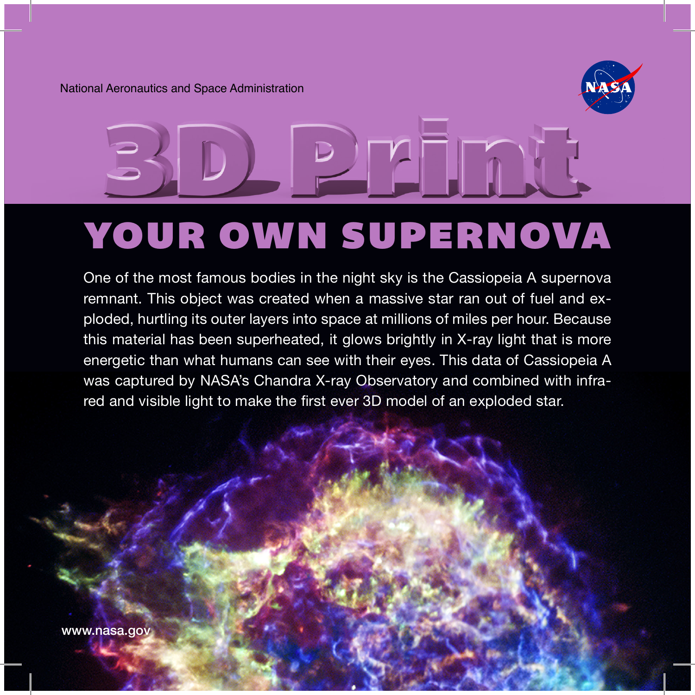National Aeronautics and Space Administration



One of the most famous bodies in the night sky is the Cassiopeia A supernova remnant. This object was created when a massive star ran out of fuel and exploded, hurtling its outer layers into space at millions of miles per hour. Because this material has been superheated, it glows brightly in X-ray light that is more energetic than what humans can see with their eyes. This data of Cassiopeia A was captured by NASA's Chandra X-ray Observatory and combined with infrared and visible light to make the first ever 3D model of an exploded star.

<www.nasa.gov>